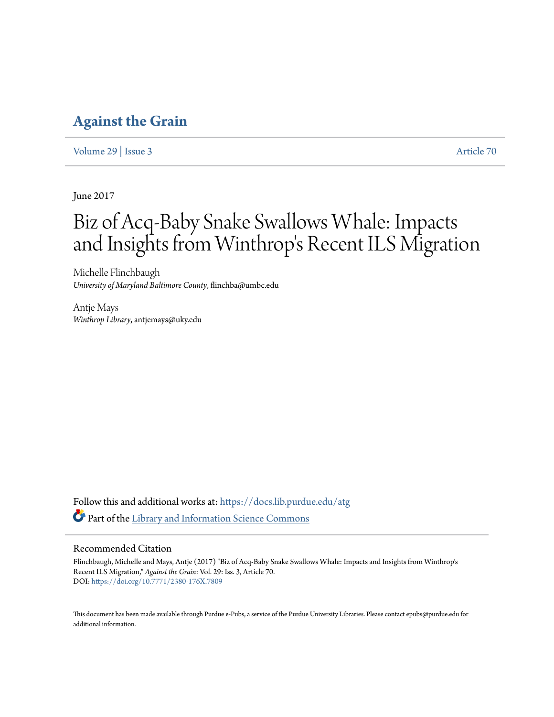### **[Against the Grain](https://docs.lib.purdue.edu/atg?utm_source=docs.lib.purdue.edu%2Fatg%2Fvol29%2Fiss3%2F70&utm_medium=PDF&utm_campaign=PDFCoverPages)**

[Volume 29](https://docs.lib.purdue.edu/atg/vol29?utm_source=docs.lib.purdue.edu%2Fatg%2Fvol29%2Fiss3%2F70&utm_medium=PDF&utm_campaign=PDFCoverPages) | [Issue 3](https://docs.lib.purdue.edu/atg/vol29/iss3?utm_source=docs.lib.purdue.edu%2Fatg%2Fvol29%2Fiss3%2F70&utm_medium=PDF&utm_campaign=PDFCoverPages) [Article 70](https://docs.lib.purdue.edu/atg/vol29/iss3/70?utm_source=docs.lib.purdue.edu%2Fatg%2Fvol29%2Fiss3%2F70&utm_medium=PDF&utm_campaign=PDFCoverPages)

June 2017

# Biz of Acq-Baby Snake Swallows Whale: Impacts and Insights from Winthrop 's Recent ILS Migration

Michelle Flinchbaugh *University of Maryland Baltimore County*, flinchba@umbc.edu

Antje Mays *Winthrop Library*, antjemays@uky.edu

Follow this and additional works at: [https://docs.lib.purdue.edu/atg](https://docs.lib.purdue.edu/atg?utm_source=docs.lib.purdue.edu%2Fatg%2Fvol29%2Fiss3%2F70&utm_medium=PDF&utm_campaign=PDFCoverPages) Part of the [Library and Information Science Commons](http://network.bepress.com/hgg/discipline/1018?utm_source=docs.lib.purdue.edu%2Fatg%2Fvol29%2Fiss3%2F70&utm_medium=PDF&utm_campaign=PDFCoverPages)

### Recommended Citation

Flinchbaugh, Michelle and Mays, Antje (2017) "Biz of Acq-Baby Snake Swallows Whale: Impacts and Insights from Winthrop's Recent ILS Migration," *Against the Grain*: Vol. 29: Iss. 3, Article 70. DOI: <https://doi.org/10.7771/2380-176X.7809>

This document has been made available through Purdue e-Pubs, a service of the Purdue University Libraries. Please contact epubs@purdue.edu for additional information.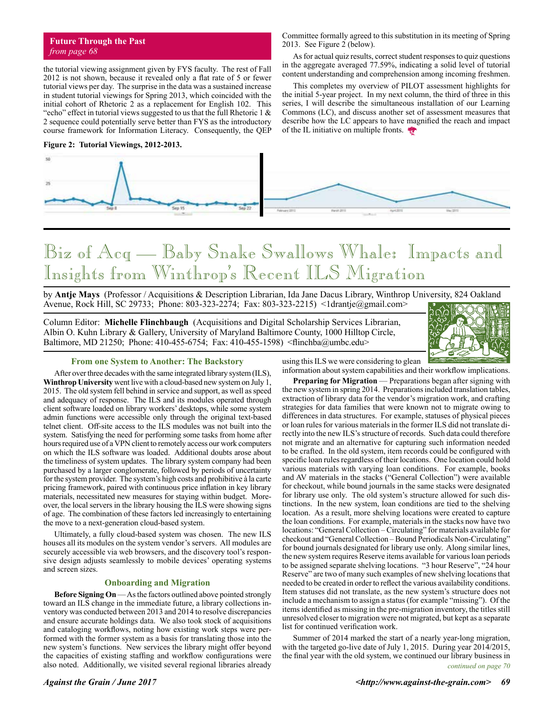the tutorial viewing assignment given by FYS faculty. The rest of Fall 2012 is not shown, because it revealed only a flat rate of 5 or fewer tutorial views per day. The surprise in the data was a sustained increase in student tutorial viewings for Spring 2013, which coincided with the initial cohort of Rhetoric 2 as a replacement for English 102. This "echo" effect in tutorial views suggested to us that the full Rhetoric 1  $\&$ 2 sequence could potentially serve better than FYS as the introductory course framework for Information Literacy. Consequently, the QEP

#### **Figure 2: Tutorial Viewings, 2012-2013.**



# Biz of Acq — Baby Snake Swallows Whale: Impacts and Insights from Winthrop's Recent ILS Migration

by **Antje Mays** (Professor / Acquisitions & Description Librarian, Ida Jane Dacus Library, Winthrop University, 824 Oakland Avenue, Rock Hill, SC 29733; Phone: 803-323-2274; Fax: 803-323-2215) <1drantje@gmail.com>

Column Editor: **Michelle Flinchbaugh** (Acquisitions and Digital Scholarship Services Librarian, Albin O. Kuhn Library & Gallery, University of Maryland Baltimore County, 1000 Hilltop Circle, Baltimore, MD 21250; Phone: 410-455-6754; Fax: 410-455-1598) <flinchba@umbc.edu>



#### **From one System to Another: The Backstory**

After over three decades with the same integrated library system (ILS), **Winthrop University** went live with a cloud-based new system on July 1, 2015. The old system fell behind in service and support, as well as speed and adequacy of response. The ILS and its modules operated through client software loaded on library workers' desktops, while some system admin functions were accessible only through the original text-based telnet client. Off-site access to the ILS modules was not built into the system. Satisfying the need for performing some tasks from home after hours required use of a VPN client to remotely access our work computers on which the ILS software was loaded. Additional doubts arose about the timeliness of system updates. The library system company had been purchased by a larger conglomerate, followed by periods of uncertainty for the system provider. The system's high costs and prohibitive à la carte pricing framework, paired with continuous price inflation in key library materials, necessitated new measures for staying within budget. Moreover, the local servers in the library housing the ILS were showing signs of age. The combination of these factors led increasingly to entertaining the move to a next-generation cloud-based system.

Ultimately, a fully cloud-based system was chosen. The new ILS houses all its modules on the system vendor's servers. All modules are securely accessible via web browsers, and the discovery tool's responsive design adjusts seamlessly to mobile devices' operating systems and screen sizes.

#### **Onboarding and Migration**

**Before Signing On** — As the factors outlined above pointed strongly toward an ILS change in the immediate future, a library collections inventory was conducted between 2013 and 2014 to resolve discrepancies and ensure accurate holdings data. We also took stock of acquisitions and cataloging workflows, noting how existing work steps were performed with the former system as a basis for translating those into the new system's functions. New services the library might offer beyond the capacities of existing staffing and workflow configurations were also noted. Additionally, we visited several regional libraries already

using this ILS we were considering to glean information about system capabilities and their workflow implications.

Committee formally agreed to this substitution in its meeting of Spring

As for actual quiz results, correct student responses to quiz questions in the aggregate averaged 77.59%, indicating a solid level of tutorial content understanding and comprehension among incoming freshmen. This completes my overview of PILOT assessment highlights for the initial 5-year project. In my next column, the third of three in this series, I will describe the simultaneous installation of our Learning Commons (LC), and discuss another set of assessment measures that describe how the LC appears to have magnified the reach and impact

2013. See Figure 2 (below).

of the IL initiative on multiple fronts.

**Preparing for Migration** — Preparations began after signing with the new system in spring 2014. Preparations included translation tables, extraction of library data for the vendor's migration work, and crafting strategies for data families that were known not to migrate owing to differences in data structures. For example, statuses of physical pieces or loan rules for various materials in the former ILS did not translate directly into the new ILS's structure of records. Such data could therefore not migrate and an alternative for capturing such information needed to be crafted. In the old system, item records could be configured with specific loan rules regardless of their locations. One location could hold various materials with varying loan conditions. For example, books and AV materials in the stacks ("General Collection") were available for checkout, while bound journals in the same stacks were designated for library use only. The old system's structure allowed for such distinctions. In the new system, loan conditions are tied to the shelving location. As a result, more shelving locations were created to capture the loan conditions. For example, materials in the stacks now have two locations: "General Collection – Circulating" for materials available for checkout and "General Collection – Bound Periodicals Non-Circulating" for bound journals designated for library use only. Along similar lines, the new system requires Reserve items available for various loan periods to be assigned separate shelving locations. "3 hour Reserve", "24 hour Reserve" are two of many such examples of new shelving locations that needed to be created in order to reflect the various availability conditions. Item statuses did not translate, as the new system's structure does not include a mechanism to assign a status (for example "missing"). Of the items identified as missing in the pre-migration inventory, the titles still unresolved closer to migration were not migrated, but kept as a separate list for continued verification work.

*continued on page 70* Summer of 2014 marked the start of a nearly year-long migration, with the targeted go-live date of July 1, 2015. During year 2014/2015, the final year with the old system, we continued our library business in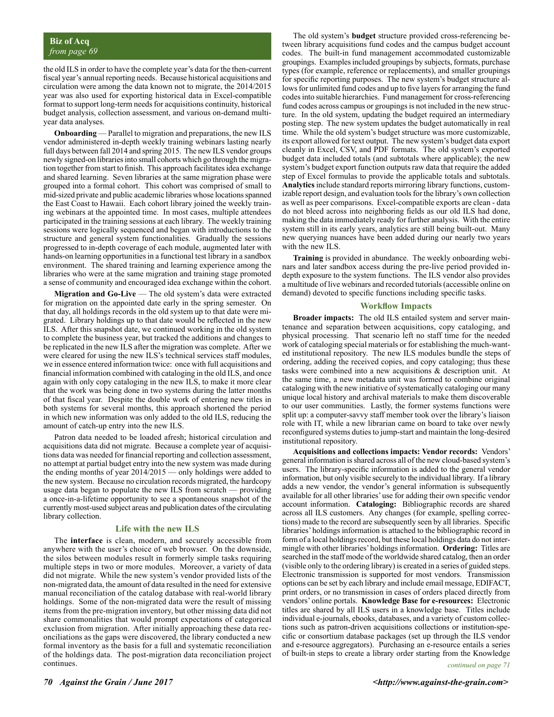the old ILS in order to have the complete year's data for the then-current fiscal year's annual reporting needs. Because historical acquisitions and circulation were among the data known not to migrate, the 2014/2015 year was also used for exporting historical data in Excel-compatible format to support long-term needs for acquisitions continuity, historical budget analysis, collection assessment, and various on-demand multiyear data analyses.

**Onboarding** — Parallel to migration and preparations, the new ILS vendor administered in-depth weekly training webinars lasting nearly full days between fall 2014 and spring 2015. The new ILS vendor groups newly signed-on libraries into small cohorts which go through the migration together from start to finish. This approach facilitates idea exchange and shared learning. Seven libraries at the same migration phase were grouped into a formal cohort. This cohort was comprised of small to mid-sized private and public academic libraries whose locations spanned the East Coast to Hawaii. Each cohort library joined the weekly training webinars at the appointed time. In most cases, multiple attendees participated in the training sessions at each library. The weekly training sessions were logically sequenced and began with introductions to the structure and general system functionalities. Gradually the sessions progressed to in-depth coverage of each module, augmented later with hands-on learning opportunities in a functional test library in a sandbox environment. The shared training and learning experience among the libraries who were at the same migration and training stage promoted a sense of community and encouraged idea exchange within the cohort.

**Migration and Go-Live** — The old system's data were extracted for migration on the appointed date early in the spring semester. On that day, all holdings records in the old system up to that date were migrated. Library holdings up to that date would be reflected in the new ILS. After this snapshot date, we continued working in the old system to complete the business year, but tracked the additions and changes to be replicated in the new ILS after the migration was complete. After we were cleared for using the new ILS's technical services staff modules, we in essence entered information twice: once with full acquisitions and financial information combined with cataloging in the old ILS, and once again with only copy cataloging in the new ILS, to make it more clear that the work was being done in two systems during the latter months of that fiscal year. Despite the double work of entering new titles in both systems for several months, this approach shortened the period in which new information was only added to the old ILS, reducing the amount of catch-up entry into the new ILS.

Patron data needed to be loaded afresh; historical circulation and acquisitions data did not migrate. Because a complete year of acquisitions data was needed for financial reporting and collection assessment, no attempt at partial budget entry into the new system was made during the ending months of year 2014/2015 — only holdings were added to the new system. Because no circulation records migrated, the hardcopy usage data began to populate the new ILS from scratch — providing a once-in-a-lifetime opportunity to see a spontaneous snapshot of the currently most-used subject areas and publication dates of the circulating library collection.

#### **Life with the new ILS**

The **interface** is clean, modern, and securely accessible from anywhere with the user's choice of web browser. On the downside, the silos between modules result in formerly simple tasks requiring multiple steps in two or more modules. Moreover, a variety of data did not migrate. While the new system's vendor provided lists of the non-migrated data, the amount of data resulted in the need for extensive manual reconciliation of the catalog database with real-world library holdings. Some of the non-migrated data were the result of missing items from the pre-migration inventory, but other missing data did not share commonalities that would prompt expectations of categorical exclusion from migration. After initially approaching these data reconciliations as the gaps were discovered, the library conducted a new formal inventory as the basis for a full and systematic reconciliation of the holdings data. The post-migration data reconciliation project continues.

The old system's **budget** structure provided cross-referencing between library acquisitions fund codes and the campus budget account codes. The built-in fund management accommodated customizable groupings. Examples included groupings by subjects, formats, purchase types (for example, reference or replacements), and smaller groupings for specific reporting purposes. The new system's budget structure allows for unlimited fund codes and up to five layers for arranging the fund codes into suitable hierarchies. Fund management for cross-referencing fund codes across campus or groupings is not included in the new structure. In the old system, updating the budget required an intermediary posting step. The new system updates the budget automatically in real time. While the old system's budget structure was more customizable, its export allowed for text output. The new system's budget data export cleanly in Excel, CSV, and PDF formats. The old system's exported budget data included totals (and subtotals where applicable); the new system's budget export function outputs raw data that require the added step of Excel formulas to provide the applicable totals and subtotals. **Analytics** include standard reports mirroring library functions, customizable report design, and evaluation tools for the library's own collection as well as peer comparisons. Excel-compatible exports are clean - data do not bleed across into neighboring fields as our old ILS had done, making the data immediately ready for further analysis. With the entire system still in its early years, analytics are still being built-out. Many new querying nuances have been added during our nearly two years with the new ILS.

**Training** is provided in abundance. The weekly onboarding webinars and later sandbox access during the pre-live period provided indepth exposure to the system functions. The ILS vendor also provides a multitude of live webinars and recorded tutorials (accessible online on demand) devoted to specific functions including specific tasks.

#### **Workflow Impacts**

**Broader impacts:** The old ILS entailed system and server maintenance and separation between acquisitions, copy cataloging, and physical processing. That scenario left no staff time for the needed work of cataloging special materials or for establishing the much-wanted institutional repository. The new ILS modules bundle the steps of ordering, adding the received copies, and copy cataloging; thus these tasks were combined into a new acquisitions & description unit. At the same time, a new metadata unit was formed to combine original cataloging with the new initiative of systematically cataloging our many unique local history and archival materials to make them discoverable to our user communities. Lastly, the former systems functions were split up: a computer-savvy staff member took over the library's liaison role with IT, while a new librarian came on board to take over newly reconfigured systems duties to jump-start and maintain the long-desired institutional repository.

**Acquisitions and collections impacts: Vendor records:** Vendors' general information is shared across all of the new cloud-based system's users. The library-specific information is added to the general vendor information, but only visible securely to the individual library. If a library adds a new vendor, the vendor's general information is subsequently available for all other libraries' use for adding their own specific vendor account information. **Cataloging:** Bibliographic records are shared across all ILS customers. Any changes (for example, spelling corrections) made to the record are subsequently seen by all libraries. Specific libraries' holdings information is attached to the bibliographic record in form of a local holdings record, but these local holdings data do not intermingle with other libraries' holdings information. **Ordering:** Titles are searched in the staff mode of the worldwide shared catalog, then an order (visible only to the ordering library) is created in a series of guided steps. Electronic transmission is supported for most vendors. Transmission options can be set by each library and include email message, EDIFACT, print orders, or no transmission in cases of orders placed directly from vendors' online portals. **Knowledge Base for e-resources:** Electronic titles are shared by all ILS users in a knowledge base. Titles include individual e-journals, ebooks, databases, and a variety of custom collections such as patron-driven acquisitions collections or institution-specific or consortium database packages (set up through the ILS vendor and e-resource aggregators). Purchasing an e-resource entails a series of built-in steps to create a library order starting from the Knowledge

*continued on page 71*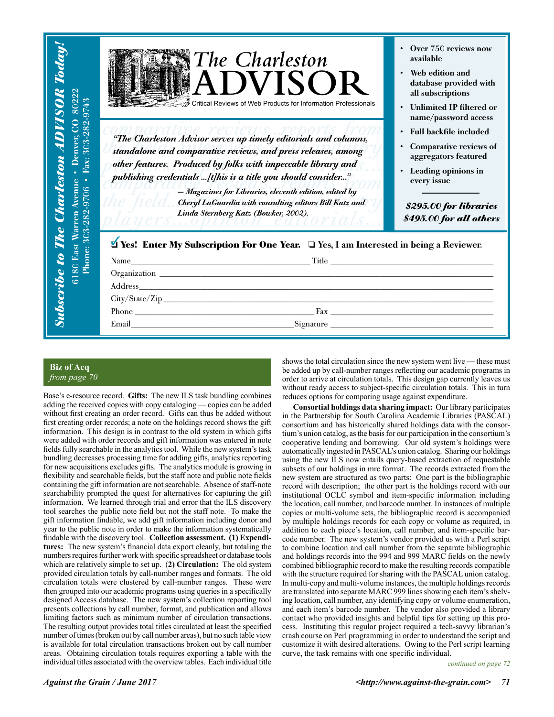| 80222<br>$-9743$<br>82<br>$303 - 25$<br>enver,<br>calons<br>Fax:<br>Avenue<br>9706<br>Warren | $\int$ The Charleston<br>ADVISOR<br>Critical Reviews of Web Products for Information Professionals<br>"The Charleston Advisor serves up timely editorials and columns,<br>standalone and comparative reviews, and press releases, among<br>other features. Produced by folks with impeccable library and<br>publishing credentials [t]his is a title you should consider"<br>- Magazines for Libraries, eleventh edition, edited by<br>Cheryl LaGuardia with consulting editors Bill Katz and<br>Linda Sternberg Katz (Bowker, 2002). | Over 750 reviews now<br>available<br>Web edition and<br>database provided with<br>all subscriptions<br>• Unlimited IP filtered or<br>name/password access<br>• Full backfile included<br>Comparative reviews of<br>aggregators featured<br>Leading opinions in<br>every issue<br>\$295.00 for libraries<br>\$495.00 for all others |
|----------------------------------------------------------------------------------------------|---------------------------------------------------------------------------------------------------------------------------------------------------------------------------------------------------------------------------------------------------------------------------------------------------------------------------------------------------------------------------------------------------------------------------------------------------------------------------------------------------------------------------------------|------------------------------------------------------------------------------------------------------------------------------------------------------------------------------------------------------------------------------------------------------------------------------------------------------------------------------------|
| <b>6180 East Warren</b><br>Phone: 303-282<br>scribe                                          | <b><i>N</i></b> Yes! Enter My Subscription For One Year. □ Yes, I am Interested in being a Reviewer.                                                                                                                                                                                                                                                                                                                                                                                                                                  |                                                                                                                                                                                                                                                                                                                                    |

### **Biz of Acq** *from page 70*

Base's e-resource record. **Gifts:** The new ILS task bundling combines adding the received copies with copy cataloging — copies can be added without first creating an order record. Gifts can thus be added without first creating order records; a note on the holdings record shows the gift information. This design is in contrast to the old system in which gifts were added with order records and gift information was entered in note fields fully searchable in the analytics tool. While the new system's task bundling decreases processing time for adding gifts, analytics reporting for new acquisitions excludes gifts. The analytics module is growing in flexibility and searchable fields, but the staff note and public note fields containing the gift information are not searchable. Absence of staff-note searchability prompted the quest for alternatives for capturing the gift information. We learned through trial and error that the ILS discovery tool searches the public note field but not the staff note. To make the gift information findable, we add gift information including donor and year to the public note in order to make the information systematically findable with the discovery tool. **Collection assessment. (1) Expenditures:** The new system's financial data export cleanly, but totaling the numbers requires further work with specific spreadsheet or database tools which are relatively simple to set up. (**2) Circulation:** The old system provided circulation totals by call-number ranges and formats. The old circulation totals were clustered by call-number ranges. These were then grouped into our academic programs using queries in a specifically designed Access database. The new system's collection reporting tool presents collections by call number, format, and publication and allows limiting factors such as minimum number of circulation transactions. The resulting output provides total titles circulated at least the specified number of times (broken out by call number areas), but no such table view is available for total circulation transactions broken out by call number areas. Obtaining circulation totals requires exporting a table with the individual titles associated with the overview tables. Each individual title

shows the total circulation since the new system went live — these must be added up by call-number ranges reflecting our academic programs in order to arrive at circulation totals. This design gap currently leaves us without ready access to subject-specific circulation totals. This in turn reduces options for comparing usage against expenditure.

**Consortial holdings data sharing impact:** Our library participates in the Partnership for South Carolina Academic Libraries (PASCAL) consortium and has historically shared holdings data with the consortium's union catalog, as the basis for our participation in the consortium's cooperative lending and borrowing. Our old system's holdings were automatically ingested in PASCAL's union catalog. Sharing our holdings using the new ILS now entails query-based extraction of requestable subsets of our holdings in mrc format. The records extracted from the new system are structured as two parts: One part is the bibliographic record with description; the other part is the holdings record with our institutional OCLC symbol and item-specific information including the location, call number, and barcode number. In instances of multiple copies or multi-volume sets, the bibliographic record is accompanied by multiple holdings records for each copy or volume as required, in addition to each piece's location, call number, and item-specific barcode number. The new system's vendor provided us with a Perl script to combine location and call number from the separate bibliographic and holdings records into the 994 and 999 MARC fields on the newly combined bibliographic record to make the resulting records compatible with the structure required for sharing with the PASCAL union catalog. In multi-copy and multi-volume instances, the multiple holdings records are translated into separate MARC 999 lines showing each item's shelving location, call number, any identifying copy or volume enumeration, and each item's barcode number. The vendor also provided a library contact who provided insights and helpful tips for setting up this process. Instituting this regular project required a tech-savvy librarian's crash course on Perl programming in order to understand the script and customize it with desired alterations. Owing to the Perl script learning curve, the task remains with one specific individual.

*continued on page 72*